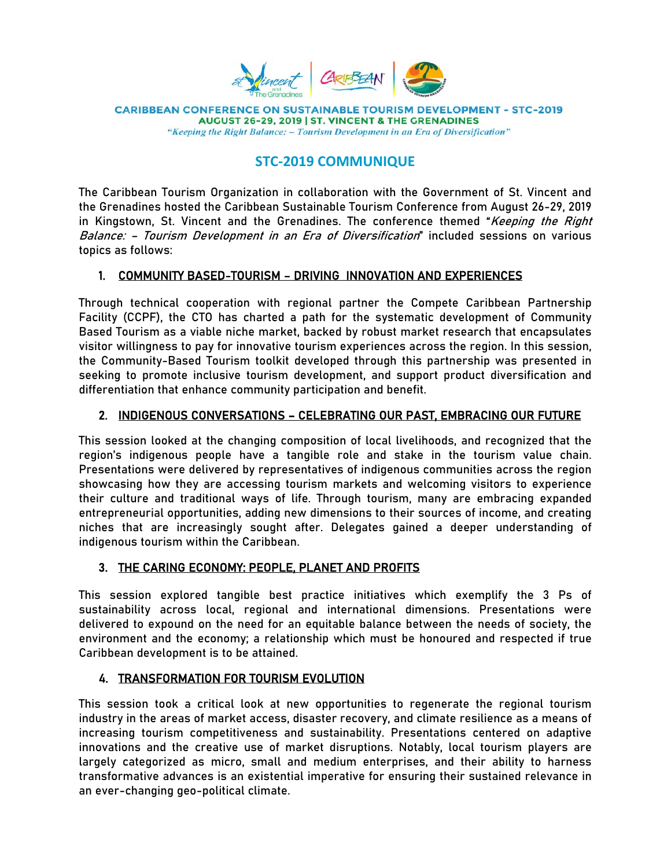

**CARIBBEAN CONFERENCE ON SUSTAINABLE TOURISM DEVELOPMENT - STC-2019** AUGUST 26-29, 2019 | ST. VINCENT & THE GRENADINES "Keeping the Right Balance: - Tourism Development in an Era of Diversification"

# **STC‐2019 COMMUNIQUE**

The Caribbean Tourism Organization in collaboration with the Government of St. Vincent and the Grenadines hosted the Caribbean Sustainable Tourism Conference from August 26-29, 2019 in Kingstown, St. Vincent and the Grenadines. The conference themed "Keeping the Right Balance: - Tourism Development in an Era of Diversification" included sessions on various topics as follows:

# 1. COMMUNITY BASED-TOURISM – DRIVING INNOVATION AND EXPERIENCES

Through technical cooperation with regional partner the Compete Caribbean Partnership Facility (CCPF), the CTO has charted a path for the systematic development of Community Based Tourism as a viable niche market, backed by robust market research that encapsulates visitor willingness to pay for innovative tourism experiences across the region. In this session, the Community-Based Tourism toolkit developed through this partnership was presented in seeking to promote inclusive tourism development, and support product diversification and differentiation that enhance community participation and benefit.

# 2. INDIGENOUS CONVERSATIONS – CELEBRATING OUR PAST, EMBRACING OUR FUTURE

This session looked at the changing composition of local livelihoods, and recognized that the region's indigenous people have a tangible role and stake in the tourism value chain. Presentations were delivered by representatives of indigenous communities across the region showcasing how they are accessing tourism markets and welcoming visitors to experience their culture and traditional ways of life. Through tourism, many are embracing expanded entrepreneurial opportunities, adding new dimensions to their sources of income, and creating niches that are increasingly sought after. Delegates gained a deeper understanding of indigenous tourism within the Caribbean.

# 3. THE CARING ECONOMY: PEOPLE, PLANET AND PROFITS

This session explored tangible best practice initiatives which exemplify the 3 Ps of sustainability across local, regional and international dimensions. Presentations were delivered to expound on the need for an equitable balance between the needs of society, the environment and the economy; a relationship which must be honoured and respected if true Caribbean development is to be attained.

# 4. TRANSFORMATION FOR TOURISM EVOLUTION

This session took a critical look at new opportunities to regenerate the regional tourism industry in the areas of market access, disaster recovery, and climate resilience as a means of increasing tourism competitiveness and sustainability. Presentations centered on adaptive innovations and the creative use of market disruptions. Notably, local tourism players are largely categorized as micro, small and medium enterprises, and their ability to harness transformative advances is an existential imperative for ensuring their sustained relevance in an ever-changing geo-political climate.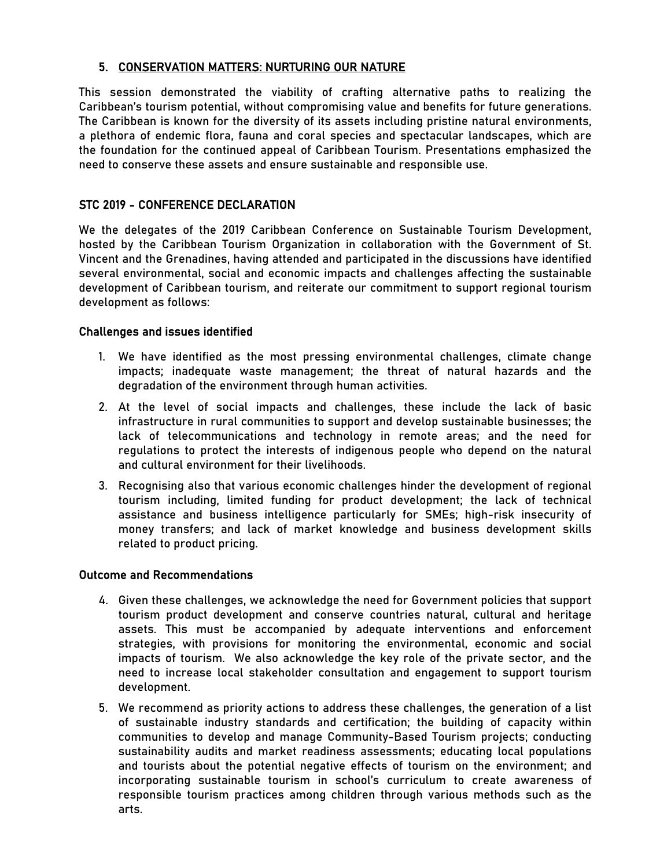#### 5. CONSERVATION MATTERS: NURTURING OUR NATURE

This session demonstrated the viability of crafting alternative paths to realizing the Caribbean's tourism potential, without compromising value and benefits for future generations. The Caribbean is known for the diversity of its assets including pristine natural environments, a plethora of endemic flora, fauna and coral species and spectacular landscapes, which are the foundation for the continued appeal of Caribbean Tourism. Presentations emphasized the need to conserve these assets and ensure sustainable and responsible use.

#### STC 2019 - CONFERENCE DECLARATION

We the delegates of the 2019 Caribbean Conference on Sustainable Tourism Development, hosted by the Caribbean Tourism Organization in collaboration with the Government of St. Vincent and the Grenadines, having attended and participated in the discussions have identified several environmental, social and economic impacts and challenges affecting the sustainable development of Caribbean tourism, and reiterate our commitment to support regional tourism development as follows:

#### Challenges and issues identified

- 1. We have identified as the most pressing environmental challenges, climate change impacts; inadequate waste management; the threat of natural hazards and the degradation of the environment through human activities.
- 2. At the level of social impacts and challenges, these include the lack of basic infrastructure in rural communities to support and develop sustainable businesses; the lack of telecommunications and technology in remote areas; and the need for regulations to protect the interests of indigenous people who depend on the natural and cultural environment for their livelihoods.
- 3. Recognising also that various economic challenges hinder the development of regional tourism including, limited funding for product development; the lack of technical assistance and business intelligence particularly for SMEs; high-risk insecurity of money transfers; and lack of market knowledge and business development skills related to product pricing.

#### Outcome and Recommendations

- 4. Given these challenges, we acknowledge the need for Government policies that support tourism product development and conserve countries natural, cultural and heritage assets. This must be accompanied by adequate interventions and enforcement strategies, with provisions for monitoring the environmental, economic and social impacts of tourism. We also acknowledge the key role of the private sector, and the need to increase local stakeholder consultation and engagement to support tourism development.
- 5. We recommend as priority actions to address these challenges, the generation of a list of sustainable industry standards and certification; the building of capacity within communities to develop and manage Community-Based Tourism projects; conducting sustainability audits and market readiness assessments; educating local populations and tourists about the potential negative effects of tourism on the environment; and incorporating sustainable tourism in school's curriculum to create awareness of responsible tourism practices among children through various methods such as the arts.